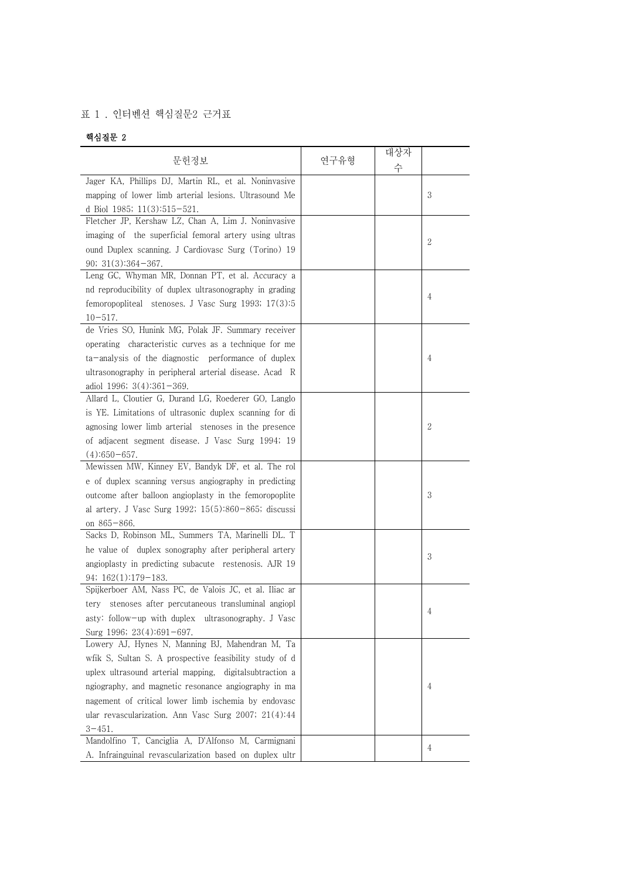## 표 1 . 인터벤션 핵심질문2 근거표

## 핵심질문 2

| 문헌정보                                                     | 연구유형 | 대상자<br>수 |              |
|----------------------------------------------------------|------|----------|--------------|
| Jager KA, Phillips DJ, Martin RL, et al. Noninvasive     |      |          |              |
| mapping of lower limb arterial lesions. Ultrasound Me    |      |          | 3            |
| d Biol 1985; 11(3):515-521.                              |      |          |              |
| Fletcher JP, Kershaw LZ, Chan A, Lim J. Noninvasive      |      |          |              |
| imaging of the superficial femoral artery using ultras   |      |          | $\mathbf{2}$ |
| ound Duplex scanning. J Cardiovasc Surg (Torino) 19      |      |          |              |
| $90; 31(3):364-367.$                                     |      |          |              |
| Leng GC, Whyman MR, Donnan PT, et al. Accuracy a         |      |          |              |
| nd reproducibility of duplex ultrasonography in grading  |      |          | 4            |
| femoropopliteal stenoses. J Vasc Surg 1993; 17(3):5      |      |          |              |
| $10 - 517$ .                                             |      |          |              |
| de Vries SO, Hunink MG, Polak JF. Summary receiver       |      |          |              |
| operating characteristic curves as a technique for me    |      |          |              |
| ta-analysis of the diagnostic performance of duplex      |      |          | 4            |
| ultrasonography in peripheral arterial disease. Acad R   |      |          |              |
| adiol 1996; $3(4):361-369$ .                             |      |          |              |
| Allard L, Cloutier G, Durand LG, Roederer GO, Langlo     |      |          |              |
| is YE. Limitations of ultrasonic duplex scanning for di  |      |          |              |
| agnosing lower limb arterial stenoses in the presence    |      |          | 2            |
| of adjacent segment disease. J Vasc Surg 1994; 19        |      |          |              |
| $(4):650-657.$                                           |      |          |              |
| Mewissen MW, Kinney EV, Bandyk DF, et al. The rol        |      |          |              |
| e of duplex scanning versus angiography in predicting    |      |          |              |
| outcome after balloon angioplasty in the femoropoplite   |      |          | 3            |
| al artery. J Vasc Surg 1992; $15(5):860-865$ ; discussi  |      |          |              |
| on 865-866.                                              |      |          |              |
| Sacks D, Robinson ML, Summers TA, Marinelli DL. T        |      |          |              |
| he value of duplex sonography after peripheral artery    |      |          | 3            |
| angioplasty in predicting subacute restenosis. AJR 19    |      |          |              |
| $94; 162(1):179-183.$                                    |      |          |              |
| Spijkerboer AM, Nass PC, de Valois JC, et al. Iliac ar   |      |          |              |
| tery stenoses after percutaneous transluminal angiopl    |      |          | 4            |
| asty: follow-up with duplex ultrasonography. J Vasc      |      |          |              |
| Surg 1996; $23(4):691-697$ .                             |      |          |              |
| Lowery AJ, Hynes N, Manning BJ, Mahendran M, Ta          |      |          |              |
| wfik S, Sultan S. A prospective feasibility study of d   |      |          |              |
| uplex ultrasound arterial mapping, digital subtraction a |      |          |              |
| ngiography, and magnetic resonance angiography in ma     |      |          | 4            |
| nagement of critical lower limb ischemia by endovasc     |      |          |              |
| ular revascularization. Ann Vasc Surg 2007; 21(4):44     |      |          |              |
| $3 - 451$ .                                              |      |          |              |
| Mandolfino T, Canciglia A, D'Alfonso M, Carmignani       |      |          | 4            |
| A. Infrainguinal revascularization based on duplex ultr  |      |          |              |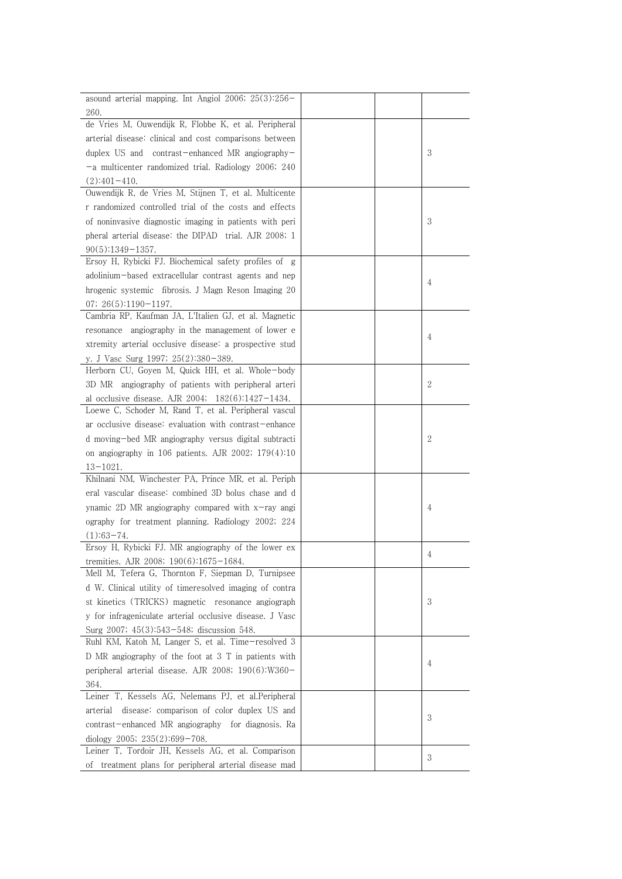| asound arterial mapping. Int Angiol 2006; $25(3):256-$   |  |   |
|----------------------------------------------------------|--|---|
| 260.                                                     |  |   |
| de Vries M, Ouwendijk R, Flobbe K, et al. Peripheral     |  |   |
| arterial disease: clinical and cost comparisons between  |  |   |
| duplex US and contrast-enhanced MR angiography-          |  | 3 |
| -a multicenter randomized trial. Radiology 2006; 240     |  |   |
| $(2):401-410.$                                           |  |   |
| Ouwendijk R, de Vries M, Stijnen T, et al. Multicente    |  |   |
| r randomized controlled trial of the costs and effects   |  |   |
| of noninvasive diagnostic imaging in patients with peri  |  | 3 |
| pheral arterial disease: the DIPAD trial. AJR 2008; 1    |  |   |
| $90(5):1349-1357.$                                       |  |   |
| Ersoy H, Rybicki FJ. Biochemical safety profiles of g    |  |   |
| adolinium-based extracellular contrast agents and nep    |  |   |
| hrogenic systemic fibrosis. J Magn Reson Imaging 20      |  | 4 |
| 07; $26(5):1190-1197$ .                                  |  |   |
| Cambria RP, Kaufman JA, L'Italien GJ, et al. Magnetic    |  |   |
| resonance angiography in the management of lower e       |  |   |
| xtremity arterial occlusive disease: a prospective stud  |  | 4 |
| y. J Vasc Surg 1997; 25(2):380-389.                      |  |   |
| Herborn CU, Goyen M, Quick HH, et al. Whole-body         |  |   |
| 3D MR angiography of patients with peripheral arteri     |  | 2 |
| al occlusive disease. AJR 2004; $182(6):1427-1434$ .     |  |   |
| Loewe C, Schoder M, Rand T, et al. Peripheral vascul     |  |   |
| ar occlusive disease: evaluation with contrast-enhance   |  |   |
| d moving-bed MR angiography versus digital subtracti     |  | 2 |
| on angiography in 106 patients. AJR 2002; $179(4):10$    |  |   |
| $13 - 1021.$                                             |  |   |
| Khilnani NM, Winchester PA, Prince MR, et al. Periph     |  |   |
| eral vascular disease: combined 3D bolus chase and d     |  |   |
| ynamic 2D MR angiography compared with x-ray angi        |  | 4 |
| ography for treatment planning. Radiology 2002; 224      |  |   |
| $(1):63-74.$                                             |  |   |
| Ersoy H, Rybicki FJ. MR angiography of the lower ex      |  |   |
| tremities. AJR 2008; 190(6):1675-1684.                   |  | 4 |
| Mell M, Tefera G, Thornton F, Siepman D, Turnipsee       |  |   |
| d W. Clinical utility of timeresolved imaging of contra  |  |   |
| st kinetics (TRICKS) magnetic resonance angiograph       |  | 3 |
| y for infrageniculate arterial occlusive disease. J Vasc |  |   |
| Surg 2007; 45(3):543-548; discussion 548.                |  |   |
| Ruhl KM, Katoh M, Langer S, et al. Time-resolved 3       |  |   |
| D MR angiography of the foot at 3 T in patients with     |  |   |
| peripheral arterial disease. AJR 2008; $190(6)$ :W360-   |  | 4 |
| 364.                                                     |  |   |
| Leiner T, Kessels AG, Nelemans PJ, et al. Peripheral     |  |   |
| arterial disease: comparison of color duplex US and      |  |   |
| contrast-enhanced MR angiography for diagnosis. Ra       |  | 3 |
| diology 2005; $235(2):699-708$ .                         |  |   |
| Leiner T, Tordoir JH, Kessels AG, et al. Comparison      |  |   |
| of treatment plans for peripheral arterial disease mad   |  | 3 |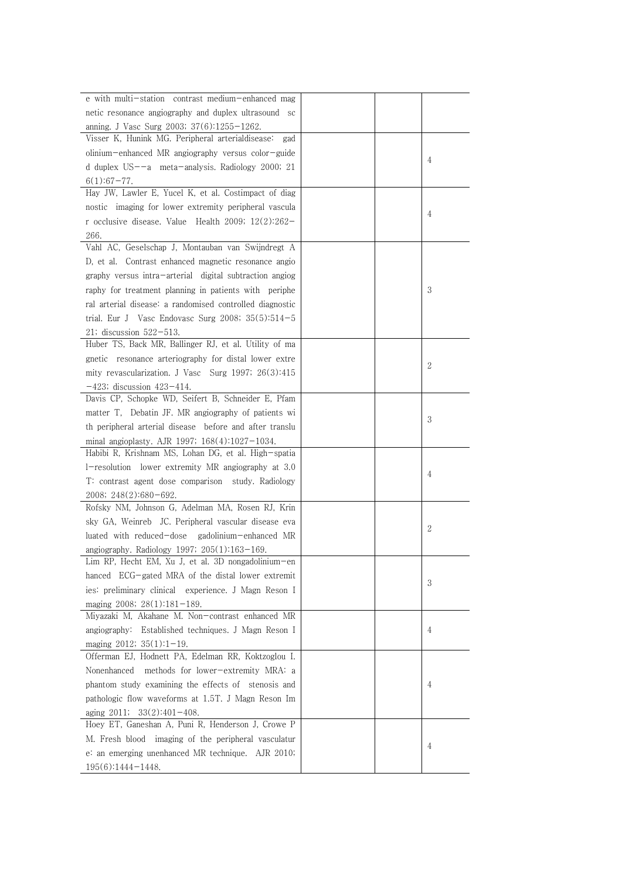| e with multi-station contrast medium-enhanced mag                                                        |  |   |
|----------------------------------------------------------------------------------------------------------|--|---|
|                                                                                                          |  |   |
| netic resonance angiography and duplex ultrasound sc                                                     |  |   |
| anning. J Vasc Surg 2003; 37(6):1255-1262.                                                               |  |   |
| Visser K, Hunink MG. Peripheral arterialdisease:<br>gad                                                  |  |   |
| olinium-enhanced MR angiography versus color-guide                                                       |  | 4 |
| d duplex $US = -a$ meta-analysis. Radiology 2000; 21                                                     |  |   |
| $6(1):67-77.$                                                                                            |  |   |
| Hay JW, Lawler E, Yucel K, et al. Costimpact of diag                                                     |  |   |
| nostic imaging for lower extremity peripheral vascula                                                    |  | 4 |
| r occlusive disease. Value Health 2009; $12(2):262-$                                                     |  |   |
| 266.                                                                                                     |  |   |
| Vahl AC, Geselschap J, Montauban van Swijndregt A                                                        |  |   |
| D, et al. Contrast enhanced magnetic resonance angio                                                     |  |   |
| graphy versus intra-arterial digital subtraction angiog                                                  |  |   |
| raphy for treatment planning in patients with periphe                                                    |  | 3 |
| ral arterial disease: a randomised controlled diagnostic                                                 |  |   |
| trial. Eur J Vasc Endovasc Surg 2008; $35(5):514-5$                                                      |  |   |
| 21; discussion 522-513.                                                                                  |  |   |
| Huber TS, Back MR, Ballinger RJ, et al. Utility of ma                                                    |  |   |
| gnetic resonance arteriography for distal lower extre                                                    |  |   |
| mity revascularization. J Vasc Surg 1997; 26(3):415                                                      |  | 2 |
| $-423$ ; discussion $423 - 414$ .                                                                        |  |   |
| Davis CP, Schopke WD, Seifert B, Schneider E, Pfam                                                       |  |   |
| matter T, Debatin JF. MR angiography of patients wi                                                      |  |   |
|                                                                                                          |  | 3 |
| th peripheral arterial disease before and after translu                                                  |  |   |
| minal angioplasty. AJR 1997; $168(4):1027-1034$ .<br>Habibi R, Krishnam MS, Lohan DG, et al. High-spatia |  |   |
|                                                                                                          |  |   |
| 1-resolution lower extremity MR angiography at 3.0                                                       |  | 4 |
| T: contrast agent dose comparison study. Radiology                                                       |  |   |
| 2008; 248(2):680-692.                                                                                    |  |   |
| Rofsky NM, Johnson G, Adelman MA, Rosen RJ, Krin                                                         |  |   |
| sky GA, Weinreb JC. Peripheral vascular disease eva                                                      |  | 2 |
| luated with reduced-dose<br>gadolinium-enhanced MR                                                       |  |   |
| angiography. Radiology 1997; $205(1):163-169$ .                                                          |  |   |
| Lim RP, Hecht EM, Xu J, et al. 3D nongadolinium-en                                                       |  |   |
| hanced ECG-gated MRA of the distal lower extremit                                                        |  | 3 |
| ies: preliminary clinical experience. J Magn Reson I                                                     |  |   |
| maging 2008; $28(1):181-189$ .                                                                           |  |   |
| Miyazaki M, Akahane M. Non-contrast enhanced MR                                                          |  |   |
| angiography: Established techniques. J Magn Reson I                                                      |  | 4 |
| maging $2012$ ; $35(1)$ :1-19.                                                                           |  |   |
| Offerman EJ, Hodnett PA, Edelman RR, Koktzoglou I.                                                       |  |   |
| Nonenhanced methods for lower-extremity MRA: a                                                           |  |   |
| phantom study examining the effects of stenosis and                                                      |  | 4 |
| pathologic flow waveforms at 1.5T. J Magn Reson Im                                                       |  |   |
| aging $2011$ ; $33(2):401-408$ .                                                                         |  |   |
| Hoey ET, Ganeshan A, Puni R, Henderson J, Crowe P                                                        |  |   |
| M. Fresh blood imaging of the peripheral vasculatur                                                      |  |   |
| e: an emerging unenhanced MR technique. AJR 2010;                                                        |  | 4 |
| $195(6):1444-1448.$                                                                                      |  |   |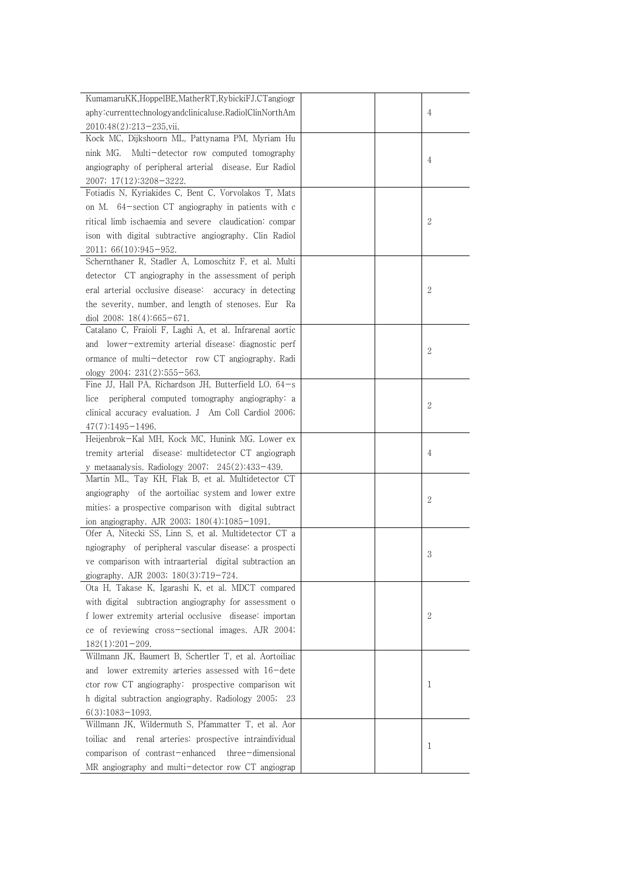| KumamaruKK, HoppelBE, MatherRT, RybickiFJ.CTangiogr<br>aphy:currenttechnologyandclinicaluse.RadiolClinNorthAm<br>$\overline{4}$<br>2010;48(2):213-235, vii.<br>Kock MC, Dijkshoorn ML, Pattynama PM, Myriam Hu<br>nink MG. Multi-detector row computed tomography<br>4<br>angiography of peripheral arterial disease. Eur Radiol<br>2007; 17(12):3208-3222.<br>Fotiadis N, Kyriakides C, Bent C, Vorvolakos T, Mats<br>on M. 64-section CT angiography in patients with c<br>2<br>ritical limb ischaemia and severe claudication: compar<br>ison with digital subtractive angiography. Clin Radiol<br>$2011; 66(10):945-952.$<br>Schernthaner R, Stadler A, Lomoschitz F, et al. Multi<br>detector CT angiography in the assessment of periph<br>2<br>eral arterial occlusive disease: accuracy in detecting<br>the severity, number, and length of stenoses. Eur Ra<br>diol 2008; $18(4):665-671$ .<br>Catalano C, Fraioli F, Laghi A, et al. Infrarenal aortic<br>and lower-extremity arterial disease: diagnostic perf<br>2<br>ormance of multi-detector row CT angiography. Radi<br>ology 2004; $231(2):555-563$ .<br>Fine JJ, Hall PA, Richardson JH, Butterfield LO. 64-s<br>peripheral computed tomography angiography: a<br>lice<br>2<br>clinical accuracy evaluation. J Am Coll Cardiol 2006;<br>$47(7)$ :1495-1496.<br>Heijenbrok-Kal MH, Kock MC, Hunink MG. Lower ex<br>tremity arterial disease: multidetector CT angiograph<br>4<br>y metaanalysis. Radiology 2007; $245(2):433-439$ .<br>Martin ML, Tay KH, Flak B, et al. Multidetector CT<br>angiography of the aortoiliac system and lower extre<br>2<br>mities: a prospective comparison with digital subtract<br>ion angiography. AJR 2003; 180(4):1085-1091.<br>Ofer A, Nitecki SS, Linn S, et al. Multidetector CT a<br>ngiography of peripheral vascular disease: a prospecti<br>3<br>ve comparison with intraarterial digital subtraction an<br>giography. AJR 2003; 180(3):719-724.<br>Ota H, Takase K, Igarashi K, et al. MDCT compared<br>with digital subtraction angiography for assessment o<br>2<br>f lower extremity arterial occlusive disease: importan<br>ce of reviewing cross-sectional images. AJR 2004;<br>$182(1):201-209.$<br>Willmann JK, Baumert B, Schertler T, et al. Aortoiliac<br>and lower extremity arteries assessed with 16-dete<br>ctor row CT angiography: prospective comparison wit<br>1<br>h digital subtraction angiography. Radiology 2005; 23<br>$6(3):1083-1093.$<br>Willmann JK, Wildermuth S, Pfammatter T, et al. Aor<br>toiliac and renal arteries: prospective intraindividual<br>1<br>comparison of contrast-enhanced<br>three-dimensional |                                                    |  |
|--------------------------------------------------------------------------------------------------------------------------------------------------------------------------------------------------------------------------------------------------------------------------------------------------------------------------------------------------------------------------------------------------------------------------------------------------------------------------------------------------------------------------------------------------------------------------------------------------------------------------------------------------------------------------------------------------------------------------------------------------------------------------------------------------------------------------------------------------------------------------------------------------------------------------------------------------------------------------------------------------------------------------------------------------------------------------------------------------------------------------------------------------------------------------------------------------------------------------------------------------------------------------------------------------------------------------------------------------------------------------------------------------------------------------------------------------------------------------------------------------------------------------------------------------------------------------------------------------------------------------------------------------------------------------------------------------------------------------------------------------------------------------------------------------------------------------------------------------------------------------------------------------------------------------------------------------------------------------------------------------------------------------------------------------------------------------------------------------------------------------------------------------------------------------------------------------------------------------------------------------------------------------------------------------------------------------------------------------------------------------------------------------------------------------------------------------------------------------------------------------------------------------------------------------------------------------------------------------------------------------------------------------------------|----------------------------------------------------|--|
|                                                                                                                                                                                                                                                                                                                                                                                                                                                                                                                                                                                                                                                                                                                                                                                                                                                                                                                                                                                                                                                                                                                                                                                                                                                                                                                                                                                                                                                                                                                                                                                                                                                                                                                                                                                                                                                                                                                                                                                                                                                                                                                                                                                                                                                                                                                                                                                                                                                                                                                                                                                                                                                              |                                                    |  |
|                                                                                                                                                                                                                                                                                                                                                                                                                                                                                                                                                                                                                                                                                                                                                                                                                                                                                                                                                                                                                                                                                                                                                                                                                                                                                                                                                                                                                                                                                                                                                                                                                                                                                                                                                                                                                                                                                                                                                                                                                                                                                                                                                                                                                                                                                                                                                                                                                                                                                                                                                                                                                                                              |                                                    |  |
|                                                                                                                                                                                                                                                                                                                                                                                                                                                                                                                                                                                                                                                                                                                                                                                                                                                                                                                                                                                                                                                                                                                                                                                                                                                                                                                                                                                                                                                                                                                                                                                                                                                                                                                                                                                                                                                                                                                                                                                                                                                                                                                                                                                                                                                                                                                                                                                                                                                                                                                                                                                                                                                              |                                                    |  |
|                                                                                                                                                                                                                                                                                                                                                                                                                                                                                                                                                                                                                                                                                                                                                                                                                                                                                                                                                                                                                                                                                                                                                                                                                                                                                                                                                                                                                                                                                                                                                                                                                                                                                                                                                                                                                                                                                                                                                                                                                                                                                                                                                                                                                                                                                                                                                                                                                                                                                                                                                                                                                                                              |                                                    |  |
|                                                                                                                                                                                                                                                                                                                                                                                                                                                                                                                                                                                                                                                                                                                                                                                                                                                                                                                                                                                                                                                                                                                                                                                                                                                                                                                                                                                                                                                                                                                                                                                                                                                                                                                                                                                                                                                                                                                                                                                                                                                                                                                                                                                                                                                                                                                                                                                                                                                                                                                                                                                                                                                              |                                                    |  |
|                                                                                                                                                                                                                                                                                                                                                                                                                                                                                                                                                                                                                                                                                                                                                                                                                                                                                                                                                                                                                                                                                                                                                                                                                                                                                                                                                                                                                                                                                                                                                                                                                                                                                                                                                                                                                                                                                                                                                                                                                                                                                                                                                                                                                                                                                                                                                                                                                                                                                                                                                                                                                                                              |                                                    |  |
|                                                                                                                                                                                                                                                                                                                                                                                                                                                                                                                                                                                                                                                                                                                                                                                                                                                                                                                                                                                                                                                                                                                                                                                                                                                                                                                                                                                                                                                                                                                                                                                                                                                                                                                                                                                                                                                                                                                                                                                                                                                                                                                                                                                                                                                                                                                                                                                                                                                                                                                                                                                                                                                              |                                                    |  |
|                                                                                                                                                                                                                                                                                                                                                                                                                                                                                                                                                                                                                                                                                                                                                                                                                                                                                                                                                                                                                                                                                                                                                                                                                                                                                                                                                                                                                                                                                                                                                                                                                                                                                                                                                                                                                                                                                                                                                                                                                                                                                                                                                                                                                                                                                                                                                                                                                                                                                                                                                                                                                                                              |                                                    |  |
|                                                                                                                                                                                                                                                                                                                                                                                                                                                                                                                                                                                                                                                                                                                                                                                                                                                                                                                                                                                                                                                                                                                                                                                                                                                                                                                                                                                                                                                                                                                                                                                                                                                                                                                                                                                                                                                                                                                                                                                                                                                                                                                                                                                                                                                                                                                                                                                                                                                                                                                                                                                                                                                              |                                                    |  |
|                                                                                                                                                                                                                                                                                                                                                                                                                                                                                                                                                                                                                                                                                                                                                                                                                                                                                                                                                                                                                                                                                                                                                                                                                                                                                                                                                                                                                                                                                                                                                                                                                                                                                                                                                                                                                                                                                                                                                                                                                                                                                                                                                                                                                                                                                                                                                                                                                                                                                                                                                                                                                                                              |                                                    |  |
|                                                                                                                                                                                                                                                                                                                                                                                                                                                                                                                                                                                                                                                                                                                                                                                                                                                                                                                                                                                                                                                                                                                                                                                                                                                                                                                                                                                                                                                                                                                                                                                                                                                                                                                                                                                                                                                                                                                                                                                                                                                                                                                                                                                                                                                                                                                                                                                                                                                                                                                                                                                                                                                              |                                                    |  |
|                                                                                                                                                                                                                                                                                                                                                                                                                                                                                                                                                                                                                                                                                                                                                                                                                                                                                                                                                                                                                                                                                                                                                                                                                                                                                                                                                                                                                                                                                                                                                                                                                                                                                                                                                                                                                                                                                                                                                                                                                                                                                                                                                                                                                                                                                                                                                                                                                                                                                                                                                                                                                                                              |                                                    |  |
|                                                                                                                                                                                                                                                                                                                                                                                                                                                                                                                                                                                                                                                                                                                                                                                                                                                                                                                                                                                                                                                                                                                                                                                                                                                                                                                                                                                                                                                                                                                                                                                                                                                                                                                                                                                                                                                                                                                                                                                                                                                                                                                                                                                                                                                                                                                                                                                                                                                                                                                                                                                                                                                              |                                                    |  |
|                                                                                                                                                                                                                                                                                                                                                                                                                                                                                                                                                                                                                                                                                                                                                                                                                                                                                                                                                                                                                                                                                                                                                                                                                                                                                                                                                                                                                                                                                                                                                                                                                                                                                                                                                                                                                                                                                                                                                                                                                                                                                                                                                                                                                                                                                                                                                                                                                                                                                                                                                                                                                                                              |                                                    |  |
|                                                                                                                                                                                                                                                                                                                                                                                                                                                                                                                                                                                                                                                                                                                                                                                                                                                                                                                                                                                                                                                                                                                                                                                                                                                                                                                                                                                                                                                                                                                                                                                                                                                                                                                                                                                                                                                                                                                                                                                                                                                                                                                                                                                                                                                                                                                                                                                                                                                                                                                                                                                                                                                              |                                                    |  |
|                                                                                                                                                                                                                                                                                                                                                                                                                                                                                                                                                                                                                                                                                                                                                                                                                                                                                                                                                                                                                                                                                                                                                                                                                                                                                                                                                                                                                                                                                                                                                                                                                                                                                                                                                                                                                                                                                                                                                                                                                                                                                                                                                                                                                                                                                                                                                                                                                                                                                                                                                                                                                                                              |                                                    |  |
|                                                                                                                                                                                                                                                                                                                                                                                                                                                                                                                                                                                                                                                                                                                                                                                                                                                                                                                                                                                                                                                                                                                                                                                                                                                                                                                                                                                                                                                                                                                                                                                                                                                                                                                                                                                                                                                                                                                                                                                                                                                                                                                                                                                                                                                                                                                                                                                                                                                                                                                                                                                                                                                              |                                                    |  |
|                                                                                                                                                                                                                                                                                                                                                                                                                                                                                                                                                                                                                                                                                                                                                                                                                                                                                                                                                                                                                                                                                                                                                                                                                                                                                                                                                                                                                                                                                                                                                                                                                                                                                                                                                                                                                                                                                                                                                                                                                                                                                                                                                                                                                                                                                                                                                                                                                                                                                                                                                                                                                                                              |                                                    |  |
|                                                                                                                                                                                                                                                                                                                                                                                                                                                                                                                                                                                                                                                                                                                                                                                                                                                                                                                                                                                                                                                                                                                                                                                                                                                                                                                                                                                                                                                                                                                                                                                                                                                                                                                                                                                                                                                                                                                                                                                                                                                                                                                                                                                                                                                                                                                                                                                                                                                                                                                                                                                                                                                              |                                                    |  |
|                                                                                                                                                                                                                                                                                                                                                                                                                                                                                                                                                                                                                                                                                                                                                                                                                                                                                                                                                                                                                                                                                                                                                                                                                                                                                                                                                                                                                                                                                                                                                                                                                                                                                                                                                                                                                                                                                                                                                                                                                                                                                                                                                                                                                                                                                                                                                                                                                                                                                                                                                                                                                                                              |                                                    |  |
|                                                                                                                                                                                                                                                                                                                                                                                                                                                                                                                                                                                                                                                                                                                                                                                                                                                                                                                                                                                                                                                                                                                                                                                                                                                                                                                                                                                                                                                                                                                                                                                                                                                                                                                                                                                                                                                                                                                                                                                                                                                                                                                                                                                                                                                                                                                                                                                                                                                                                                                                                                                                                                                              |                                                    |  |
|                                                                                                                                                                                                                                                                                                                                                                                                                                                                                                                                                                                                                                                                                                                                                                                                                                                                                                                                                                                                                                                                                                                                                                                                                                                                                                                                                                                                                                                                                                                                                                                                                                                                                                                                                                                                                                                                                                                                                                                                                                                                                                                                                                                                                                                                                                                                                                                                                                                                                                                                                                                                                                                              |                                                    |  |
|                                                                                                                                                                                                                                                                                                                                                                                                                                                                                                                                                                                                                                                                                                                                                                                                                                                                                                                                                                                                                                                                                                                                                                                                                                                                                                                                                                                                                                                                                                                                                                                                                                                                                                                                                                                                                                                                                                                                                                                                                                                                                                                                                                                                                                                                                                                                                                                                                                                                                                                                                                                                                                                              |                                                    |  |
|                                                                                                                                                                                                                                                                                                                                                                                                                                                                                                                                                                                                                                                                                                                                                                                                                                                                                                                                                                                                                                                                                                                                                                                                                                                                                                                                                                                                                                                                                                                                                                                                                                                                                                                                                                                                                                                                                                                                                                                                                                                                                                                                                                                                                                                                                                                                                                                                                                                                                                                                                                                                                                                              |                                                    |  |
|                                                                                                                                                                                                                                                                                                                                                                                                                                                                                                                                                                                                                                                                                                                                                                                                                                                                                                                                                                                                                                                                                                                                                                                                                                                                                                                                                                                                                                                                                                                                                                                                                                                                                                                                                                                                                                                                                                                                                                                                                                                                                                                                                                                                                                                                                                                                                                                                                                                                                                                                                                                                                                                              |                                                    |  |
|                                                                                                                                                                                                                                                                                                                                                                                                                                                                                                                                                                                                                                                                                                                                                                                                                                                                                                                                                                                                                                                                                                                                                                                                                                                                                                                                                                                                                                                                                                                                                                                                                                                                                                                                                                                                                                                                                                                                                                                                                                                                                                                                                                                                                                                                                                                                                                                                                                                                                                                                                                                                                                                              |                                                    |  |
|                                                                                                                                                                                                                                                                                                                                                                                                                                                                                                                                                                                                                                                                                                                                                                                                                                                                                                                                                                                                                                                                                                                                                                                                                                                                                                                                                                                                                                                                                                                                                                                                                                                                                                                                                                                                                                                                                                                                                                                                                                                                                                                                                                                                                                                                                                                                                                                                                                                                                                                                                                                                                                                              |                                                    |  |
|                                                                                                                                                                                                                                                                                                                                                                                                                                                                                                                                                                                                                                                                                                                                                                                                                                                                                                                                                                                                                                                                                                                                                                                                                                                                                                                                                                                                                                                                                                                                                                                                                                                                                                                                                                                                                                                                                                                                                                                                                                                                                                                                                                                                                                                                                                                                                                                                                                                                                                                                                                                                                                                              |                                                    |  |
|                                                                                                                                                                                                                                                                                                                                                                                                                                                                                                                                                                                                                                                                                                                                                                                                                                                                                                                                                                                                                                                                                                                                                                                                                                                                                                                                                                                                                                                                                                                                                                                                                                                                                                                                                                                                                                                                                                                                                                                                                                                                                                                                                                                                                                                                                                                                                                                                                                                                                                                                                                                                                                                              |                                                    |  |
|                                                                                                                                                                                                                                                                                                                                                                                                                                                                                                                                                                                                                                                                                                                                                                                                                                                                                                                                                                                                                                                                                                                                                                                                                                                                                                                                                                                                                                                                                                                                                                                                                                                                                                                                                                                                                                                                                                                                                                                                                                                                                                                                                                                                                                                                                                                                                                                                                                                                                                                                                                                                                                                              |                                                    |  |
|                                                                                                                                                                                                                                                                                                                                                                                                                                                                                                                                                                                                                                                                                                                                                                                                                                                                                                                                                                                                                                                                                                                                                                                                                                                                                                                                                                                                                                                                                                                                                                                                                                                                                                                                                                                                                                                                                                                                                                                                                                                                                                                                                                                                                                                                                                                                                                                                                                                                                                                                                                                                                                                              |                                                    |  |
|                                                                                                                                                                                                                                                                                                                                                                                                                                                                                                                                                                                                                                                                                                                                                                                                                                                                                                                                                                                                                                                                                                                                                                                                                                                                                                                                                                                                                                                                                                                                                                                                                                                                                                                                                                                                                                                                                                                                                                                                                                                                                                                                                                                                                                                                                                                                                                                                                                                                                                                                                                                                                                                              |                                                    |  |
|                                                                                                                                                                                                                                                                                                                                                                                                                                                                                                                                                                                                                                                                                                                                                                                                                                                                                                                                                                                                                                                                                                                                                                                                                                                                                                                                                                                                                                                                                                                                                                                                                                                                                                                                                                                                                                                                                                                                                                                                                                                                                                                                                                                                                                                                                                                                                                                                                                                                                                                                                                                                                                                              |                                                    |  |
|                                                                                                                                                                                                                                                                                                                                                                                                                                                                                                                                                                                                                                                                                                                                                                                                                                                                                                                                                                                                                                                                                                                                                                                                                                                                                                                                                                                                                                                                                                                                                                                                                                                                                                                                                                                                                                                                                                                                                                                                                                                                                                                                                                                                                                                                                                                                                                                                                                                                                                                                                                                                                                                              |                                                    |  |
|                                                                                                                                                                                                                                                                                                                                                                                                                                                                                                                                                                                                                                                                                                                                                                                                                                                                                                                                                                                                                                                                                                                                                                                                                                                                                                                                                                                                                                                                                                                                                                                                                                                                                                                                                                                                                                                                                                                                                                                                                                                                                                                                                                                                                                                                                                                                                                                                                                                                                                                                                                                                                                                              |                                                    |  |
|                                                                                                                                                                                                                                                                                                                                                                                                                                                                                                                                                                                                                                                                                                                                                                                                                                                                                                                                                                                                                                                                                                                                                                                                                                                                                                                                                                                                                                                                                                                                                                                                                                                                                                                                                                                                                                                                                                                                                                                                                                                                                                                                                                                                                                                                                                                                                                                                                                                                                                                                                                                                                                                              |                                                    |  |
|                                                                                                                                                                                                                                                                                                                                                                                                                                                                                                                                                                                                                                                                                                                                                                                                                                                                                                                                                                                                                                                                                                                                                                                                                                                                                                                                                                                                                                                                                                                                                                                                                                                                                                                                                                                                                                                                                                                                                                                                                                                                                                                                                                                                                                                                                                                                                                                                                                                                                                                                                                                                                                                              |                                                    |  |
|                                                                                                                                                                                                                                                                                                                                                                                                                                                                                                                                                                                                                                                                                                                                                                                                                                                                                                                                                                                                                                                                                                                                                                                                                                                                                                                                                                                                                                                                                                                                                                                                                                                                                                                                                                                                                                                                                                                                                                                                                                                                                                                                                                                                                                                                                                                                                                                                                                                                                                                                                                                                                                                              |                                                    |  |
|                                                                                                                                                                                                                                                                                                                                                                                                                                                                                                                                                                                                                                                                                                                                                                                                                                                                                                                                                                                                                                                                                                                                                                                                                                                                                                                                                                                                                                                                                                                                                                                                                                                                                                                                                                                                                                                                                                                                                                                                                                                                                                                                                                                                                                                                                                                                                                                                                                                                                                                                                                                                                                                              |                                                    |  |
|                                                                                                                                                                                                                                                                                                                                                                                                                                                                                                                                                                                                                                                                                                                                                                                                                                                                                                                                                                                                                                                                                                                                                                                                                                                                                                                                                                                                                                                                                                                                                                                                                                                                                                                                                                                                                                                                                                                                                                                                                                                                                                                                                                                                                                                                                                                                                                                                                                                                                                                                                                                                                                                              |                                                    |  |
|                                                                                                                                                                                                                                                                                                                                                                                                                                                                                                                                                                                                                                                                                                                                                                                                                                                                                                                                                                                                                                                                                                                                                                                                                                                                                                                                                                                                                                                                                                                                                                                                                                                                                                                                                                                                                                                                                                                                                                                                                                                                                                                                                                                                                                                                                                                                                                                                                                                                                                                                                                                                                                                              |                                                    |  |
|                                                                                                                                                                                                                                                                                                                                                                                                                                                                                                                                                                                                                                                                                                                                                                                                                                                                                                                                                                                                                                                                                                                                                                                                                                                                                                                                                                                                                                                                                                                                                                                                                                                                                                                                                                                                                                                                                                                                                                                                                                                                                                                                                                                                                                                                                                                                                                                                                                                                                                                                                                                                                                                              |                                                    |  |
|                                                                                                                                                                                                                                                                                                                                                                                                                                                                                                                                                                                                                                                                                                                                                                                                                                                                                                                                                                                                                                                                                                                                                                                                                                                                                                                                                                                                                                                                                                                                                                                                                                                                                                                                                                                                                                                                                                                                                                                                                                                                                                                                                                                                                                                                                                                                                                                                                                                                                                                                                                                                                                                              |                                                    |  |
|                                                                                                                                                                                                                                                                                                                                                                                                                                                                                                                                                                                                                                                                                                                                                                                                                                                                                                                                                                                                                                                                                                                                                                                                                                                                                                                                                                                                                                                                                                                                                                                                                                                                                                                                                                                                                                                                                                                                                                                                                                                                                                                                                                                                                                                                                                                                                                                                                                                                                                                                                                                                                                                              |                                                    |  |
|                                                                                                                                                                                                                                                                                                                                                                                                                                                                                                                                                                                                                                                                                                                                                                                                                                                                                                                                                                                                                                                                                                                                                                                                                                                                                                                                                                                                                                                                                                                                                                                                                                                                                                                                                                                                                                                                                                                                                                                                                                                                                                                                                                                                                                                                                                                                                                                                                                                                                                                                                                                                                                                              |                                                    |  |
|                                                                                                                                                                                                                                                                                                                                                                                                                                                                                                                                                                                                                                                                                                                                                                                                                                                                                                                                                                                                                                                                                                                                                                                                                                                                                                                                                                                                                                                                                                                                                                                                                                                                                                                                                                                                                                                                                                                                                                                                                                                                                                                                                                                                                                                                                                                                                                                                                                                                                                                                                                                                                                                              |                                                    |  |
|                                                                                                                                                                                                                                                                                                                                                                                                                                                                                                                                                                                                                                                                                                                                                                                                                                                                                                                                                                                                                                                                                                                                                                                                                                                                                                                                                                                                                                                                                                                                                                                                                                                                                                                                                                                                                                                                                                                                                                                                                                                                                                                                                                                                                                                                                                                                                                                                                                                                                                                                                                                                                                                              |                                                    |  |
|                                                                                                                                                                                                                                                                                                                                                                                                                                                                                                                                                                                                                                                                                                                                                                                                                                                                                                                                                                                                                                                                                                                                                                                                                                                                                                                                                                                                                                                                                                                                                                                                                                                                                                                                                                                                                                                                                                                                                                                                                                                                                                                                                                                                                                                                                                                                                                                                                                                                                                                                                                                                                                                              |                                                    |  |
|                                                                                                                                                                                                                                                                                                                                                                                                                                                                                                                                                                                                                                                                                                                                                                                                                                                                                                                                                                                                                                                                                                                                                                                                                                                                                                                                                                                                                                                                                                                                                                                                                                                                                                                                                                                                                                                                                                                                                                                                                                                                                                                                                                                                                                                                                                                                                                                                                                                                                                                                                                                                                                                              |                                                    |  |
|                                                                                                                                                                                                                                                                                                                                                                                                                                                                                                                                                                                                                                                                                                                                                                                                                                                                                                                                                                                                                                                                                                                                                                                                                                                                                                                                                                                                                                                                                                                                                                                                                                                                                                                                                                                                                                                                                                                                                                                                                                                                                                                                                                                                                                                                                                                                                                                                                                                                                                                                                                                                                                                              |                                                    |  |
|                                                                                                                                                                                                                                                                                                                                                                                                                                                                                                                                                                                                                                                                                                                                                                                                                                                                                                                                                                                                                                                                                                                                                                                                                                                                                                                                                                                                                                                                                                                                                                                                                                                                                                                                                                                                                                                                                                                                                                                                                                                                                                                                                                                                                                                                                                                                                                                                                                                                                                                                                                                                                                                              | MR angiography and multi-detector row CT angiograp |  |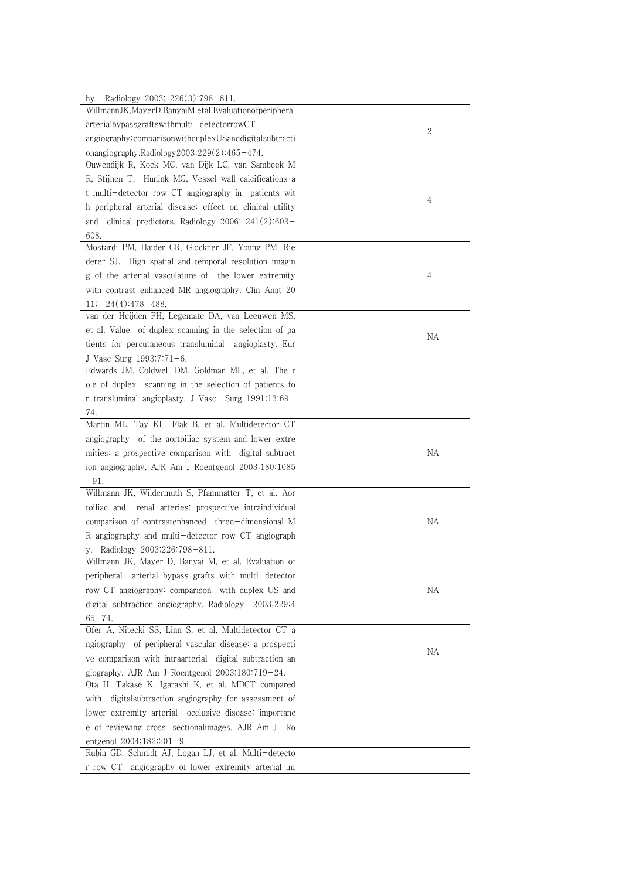| Radiology 2003; 226(3):798-811.<br>hy.                                        |    |
|-------------------------------------------------------------------------------|----|
| WillmannJK, MayerD, BanyaiM, et al. Evaluation of peripheral                  |    |
| arterialbypassgraftswithmulti-detectorrowCT                                   | 2  |
| angiography:comparisonwithduplexUSanddigitalsubtracti                         |    |
| onangiography.Radiology2003;229(2):465-474.                                   |    |
| Ouwendijk R, Kock MC, van Dijk LC, van Sambeek M                              |    |
| R, Stijnen T, Hunink MG. Vessel wall calcifications a                         |    |
| t multi-detector row CT angiography in patients wit                           | 4  |
| h peripheral arterial disease: effect on clinical utility                     |    |
| clinical predictors. Radiology 2006; $241(2):603-$<br>and                     |    |
| 608.                                                                          |    |
| Mostardi PM, Haider CR, Glockner JF, Young PM, Rie                            |    |
| derer SJ. High spatial and temporal resolution imagin                         |    |
| g of the arterial vasculature of the lower extremity                          | 4  |
| with contrast enhanced MR angiography. Clin Anat 20                           |    |
| $24(4):478-488.$<br>11;<br>van der Heijden FH, Legemate DA, van Leeuwen MS,   |    |
|                                                                               |    |
| et al. Value of duplex scanning in the selection of pa                        | NА |
| tients for percutaneous transluminal angioplasty. Eur                         |    |
| J Vasc Surg 1993;7:71-6.<br>Edwards JM, Coldwell DM, Goldman ML, et al. The r |    |
| ole of duplex scanning in the selection of patients fo                        |    |
|                                                                               |    |
| r transluminal angioplasty. J Vasc Surg 1991;13:69-                           |    |
| 74.<br>Martin ML, Tay KH, Flak B, et al. Multidetector CT                     |    |
| angiography of the aortoiliac system and lower extre                          |    |
| mities: a prospective comparison with digital subtract                        | NА |
| ion angiography. AJR Am J Roentgenol 2003;180:1085                            |    |
| $-91.$                                                                        |    |
| Willmann JK, Wildermuth S, Pfammatter T, et al. Aor                           |    |
| toiliac and renal arteries: prospective intraindividual                       |    |
| comparison of contrastenhanced three-dimensional M                            | NA |
| R angiography and multi-detector row CT angiograph                            |    |
| y. Radiology 2003;226:798-811.                                                |    |
| Willmann JK, Mayer D, Banyai M, et al. Evaluation of                          |    |
| arterial bypass grafts with multi-detector<br>peripheral                      |    |
| row CT angiography: comparison with duplex US and                             | NА |
| digital subtraction angiography. Radiology<br>2003;229:4                      |    |
| $65 - 74.$                                                                    |    |
| Ofer A, Nitecki SS, Linn S, et al. Multidetector CT a                         |    |
| ngiography of peripheral vascular disease: a prospecti                        |    |
| ve comparison with intraarterial digital subtraction an                       | NА |
| giography. AJR Am J Roentgenol 2003;180:719-24.                               |    |
| Ota H, Takase K, Igarashi K, et al. MDCT compared                             |    |
| with digital subtraction angiography for assessment of                        |    |
| lower extremity arterial occlusive disease: importanc                         |    |
| e of reviewing cross-sectionalimages. AJR Am J<br>- Ko                        |    |
| entgenol $2004;182:201-9$ .                                                   |    |
| Rubin GD, Schmidt AJ, Logan LJ, et al. Multi-detecto                          |    |
| angiography of lower extremity arterial inf<br>r row CT                       |    |
|                                                                               |    |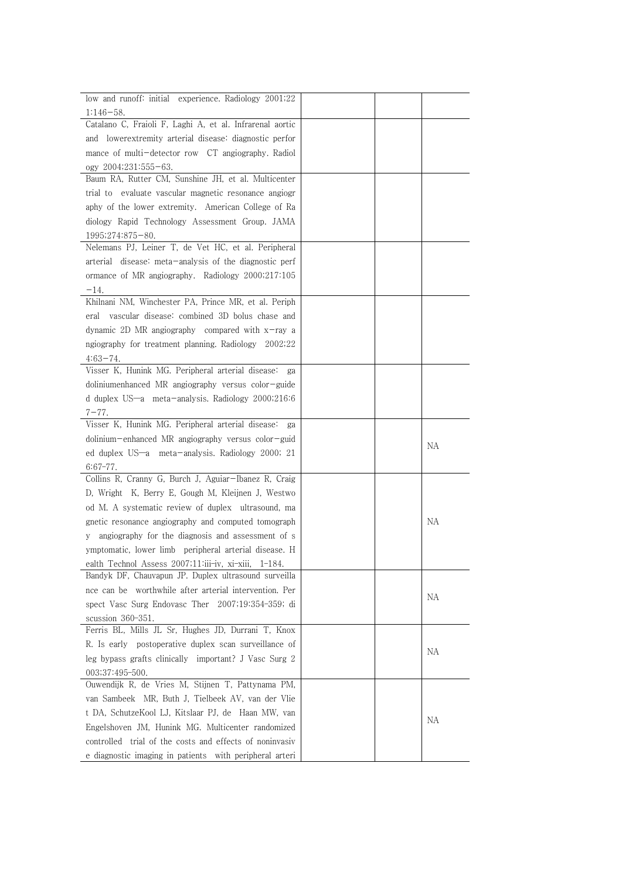| low and runoff: initial experience. Radiology 2001;22          |
|----------------------------------------------------------------|
| 1:146-58.                                                      |
| Catalano C, Fraioli F, Laghi A, et al. Infrarenal aortic       |
| and lowerextremity arterial disease: diagnostic perfor         |
| mance of multi-detector row CT angiography. Radiol             |
| ogy 2004;231:555-63.                                           |
| Baum RA, Rutter CM, Sunshine JH, et al. Multicenter            |
| trial to evaluate vascular magnetic resonance angiogr          |
| aphy of the lower extremity. American College of Ra            |
| diology Rapid Technology Assessment Group. JAMA                |
| 1995;274:875-80.                                               |
| Nelemans PJ, Leiner T, de Vet HC, et al. Peripheral            |
| arterial disease: meta-analysis of the diagnostic perf         |
|                                                                |
| ormance of MR angiography. Radiology 2000;217:105              |
| $-14.$<br>Khilnani NM, Winchester PA, Prince MR, et al. Periph |
| vascular disease: combined 3D bolus chase and                  |
| eral                                                           |
| dynamic 2D MR angiography compared with $x$ -ray a             |
| ngiography for treatment planning. Radiology 2002;22           |
| $4:63-74.$                                                     |
| Visser K, Hunink MG. Peripheral arterial disease:<br>ga        |
| doliniumenhanced MR angiography versus color-guide             |
| d duplex US-a meta-analysis. Radiology 2000;216:6              |
| 7–77.                                                          |
| Visser K, Hunink MG. Peripheral arterial disease:<br>ga        |
| dolinium-enhanced MR angiography versus color-guid<br>NА       |
| ed duplex US-a meta-analysis. Radiology 2000; 21               |
| $6:67-77$ .                                                    |
| Collins R, Cranny G, Burch J, Aguiar-Ibanez R, Craig           |
| D, Wright K, Berry E, Gough M, Kleijnen J, Westwo              |
| od M. A systematic review of duplex ultrasound, ma             |
| gnetic resonance angiography and computed tomograph<br>NА      |
| angiography for the diagnosis and assessment of s<br>V         |
| ymptomatic, lower limb peripheral arterial disease. H          |
| ealth Technol Assess 2007;11:iii-iv, xi-xiii, 1-184.           |
| Bandyk DF, Chauvapun JP. Duplex ultrasound surveilla           |
| nce can be worthwhile after arterial intervention. Per<br>NА   |
| spect Vasc Surg Endovasc Ther 2007;19:354-359; di              |
| scussion 360-351.                                              |
| Ferris BL, Mills JL Sr, Hughes JD, Durrani T, Knox             |
| R. Is early postoperative duplex scan surveillance of          |
| NA<br>leg bypass grafts clinically important? J Vasc Surg 2    |
| 003;37:495-500.                                                |
| Ouwendijk R, de Vries M, Stijnen T, Pattynama PM,              |
| van Sambeek MR, Buth J, Tielbeek AV, van der Vlie              |
| t DA, SchutzeKool LJ, Kitslaar PJ, de Haan MW, van             |
| NA<br>Engelshoven JM, Hunink MG. Multicenter randomized        |
| controlled trial of the costs and effects of noninvasiv        |
| e diagnostic imaging in patients with peripheral arteri        |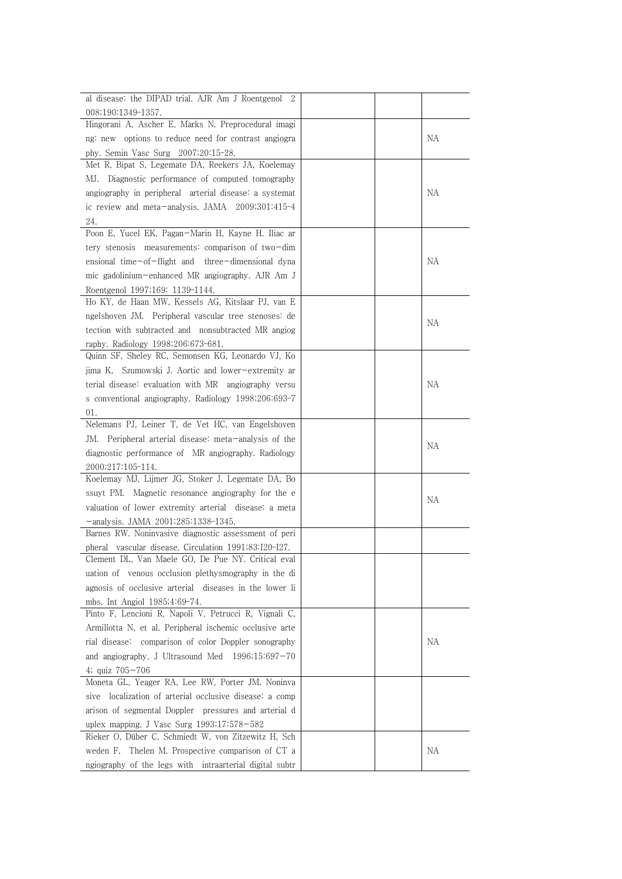| al disease: the DIPAD trial. AJR Am J Roentgenol 2       |    |
|----------------------------------------------------------|----|
| 008;190:1349-1357.                                       |    |
| Hingorani A, Ascher E, Marks N. Preprocedural imagi      |    |
| ng: new options to reduce need for contrast angiogra     | NА |
| phy. Semin Vasc Surg 2007;20:15-28.                      |    |
| Met R, Bipat S, Legemate DA, Reekers JA, Koelemay        |    |
| Diagnostic performance of computed tomography<br>MJ.     |    |
| angiography in peripheral arterial disease: a systemat   | NА |
| ic review and meta-analysis. JAMA 2009;301:415-4         |    |
| 24.                                                      |    |
| Poon E, Yucel EK, Pagan-Marin H, Kayne H. Iliac ar       |    |
| tery stenosis measurements: comparison of two-dim        |    |
| ensional time-of-flight and three-dimensional dyna       | NА |
| mic gadolinium-enhanced MR angiography. AJR Am J         |    |
| Roentgenol 1997;169: 1139-1144.                          |    |
| Ho KY, de Haan MW, Kessels AG, Kitslaar PJ, van E        |    |
| ngelshoven JM. Peripheral vascular tree stenoses: de     |    |
| tection with subtracted and nonsubtracted MR angiog      | NА |
| raphy. Radiology 1998;206:673-681.                       |    |
| Quinn SF, Sheley RC, Semonsen KG, Leonardo VJ, Ko        |    |
| jima K, Szumowski J. Aortic and lower-extremity ar       |    |
| terial disease: evaluation with MR angiography versu     | NА |
| s conventional angiography. Radiology 1998;206:693-7     |    |
| 01.                                                      |    |
| Nelemans PJ, Leiner T, de Vet HC, van Engelshoven        |    |
| Peripheral arterial disease: meta-analysis of the<br>JM. |    |
| diagnostic performance of MR angiography. Radiology      | NA |
| 2000;217:105-114.                                        |    |
| Koelemay MJ, Lijmer JG, Stoker J, Legemate DA, Bo        |    |
| ssuyt PM. Magnetic resonance angiography for the e       |    |
| valuation of lower extremity arterial disease: a meta    | NА |
| -analysis. JAMA 2001;285:1338-1345.                      |    |
| Barnes RW. Noninvasive diagnostic assessment of peri     |    |
| pheral vascular disease. Circulation 1991;83:I20-I27.    |    |
| Clement DL, Van Maele GO, De Pue NY. Critical eval       |    |
| uation of venous occlusion plethysmography in the di     |    |
| agnosis of occlusive arterial diseases in the lower li   |    |
| mbs. Int Angiol 1985;4:69-74.                            |    |
| Pinto F, Lencioni R, Napoli V, Petrucci R, Vignali C,    |    |
| Armillotta N, et al. Peripheral ischemic occlusive arte  |    |
| rial disease: comparison of color Doppler sonography     | NА |
| and angiography. J Ultrasound Med 1996;15:697-70         |    |
| 4; quiz $705 - 706$                                      |    |
| Moneta GL, Yeager RA, Lee RW, Porter JM. Noninva         |    |
| sive localization of arterial occlusive disease: a comp  |    |
| arison of segmental Doppler pressures and arterial d     |    |
| uplex mapping. J Vasc Surg 1993;17:578-582               |    |
| Rieker O, Düber C, Schmiedt W, von Zitzewitz H, Sch      |    |
| weden F, Thelen M. Prospective comparison of CT a        | NA |
| ngiography of the legs with intraarterial digital subtr  |    |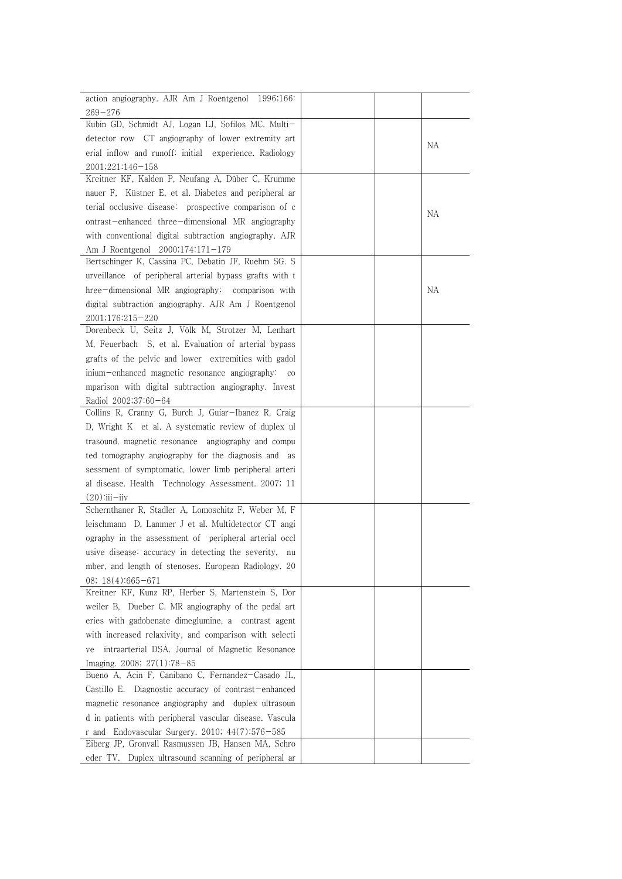| action angiography. AJR Am J Roentgenol 1996;166:             |    |  |
|---------------------------------------------------------------|----|--|
| $269 - 276$                                                   |    |  |
| Rubin GD, Schmidt AJ, Logan LJ, Sofilos MC. Multi-            |    |  |
| detector row CT angiography of lower extremity art            |    |  |
| erial inflow and runoff: initial experience. Radiology        | NА |  |
| 2001;221:146-158                                              |    |  |
| Kreitner KF, Kalden P, Neufang A, Düber C, Krumme             |    |  |
| nauer F, Küstner E, et al. Diabetes and peripheral ar         |    |  |
| terial occlusive disease: prospective comparison of c         |    |  |
| ontrast-enhanced three-dimensional MR angiography             | NA |  |
| with conventional digital subtraction angiography. AJR        |    |  |
| Am J Roentgenol 2000;174:171-179                              |    |  |
| Bertschinger K, Cassina PC, Debatin JF, Ruehm SG. S           |    |  |
| urveillance of peripheral arterial bypass grafts with t       |    |  |
| hree-dimensional MR angiography:<br>comparison with           | NА |  |
| digital subtraction angiography. AJR Am J Roentgenol          |    |  |
| 2001;176:215-220                                              |    |  |
| Dorenbeck U, Seitz J, Völk M, Strotzer M, Lenhart             |    |  |
| M, Feuerbach S, et al. Evaluation of arterial bypass          |    |  |
| grafts of the pelvic and lower extremities with gadol         |    |  |
| inium-enhanced magnetic resonance angiography:<br>$_{\rm CO}$ |    |  |
| mparison with digital subtraction angiography. Invest         |    |  |
| Radiol 2002;37:60-64                                          |    |  |
| Collins R, Cranny G, Burch J, Guiar-Ibanez R, Craig           |    |  |
| D, Wright K et al. A systematic review of duplex ul           |    |  |
| trasound, magnetic resonance angiography and compu            |    |  |
| ted tomography angiography for the diagnosis and as           |    |  |
| sessment of symptomatic, lower limb peripheral arteri         |    |  |
| al disease. Health Technology Assessment. 2007; 11            |    |  |
| $(20)$ : $ii - ii$                                            |    |  |
| Schernthaner R, Stadler A, Lomoschitz F, Weber M, F           |    |  |
| leischmann D, Lammer J et al. Multidetector CT angi           |    |  |
| ography in the assessment of peripheral arterial occl         |    |  |
| usive disease: accuracy in detecting the severity,<br>nu      |    |  |
| mber, and length of stenoses. European Radiology. 20          |    |  |
| 08; $18(4):665-671$                                           |    |  |
| Kreitner KF, Kunz RP, Herber S, Martenstein S, Dor            |    |  |
| weiler B, Dueber C. MR angiography of the pedal art           |    |  |
| eries with gadobenate dimeglumine, a contrast agent           |    |  |
| with increased relaxivity, and comparison with selecti        |    |  |
| intraarterial DSA. Journal of Magnetic Resonance<br>ve        |    |  |
| Imaging. $2008$ ; $27(1)$ :78-85                              |    |  |
| Bueno A, Acin F, Canibano C, Fernandez-Casado JL,             |    |  |
| Castillo E. Diagnostic accuracy of contrast-enhanced          |    |  |
| magnetic resonance angiography and duplex ultrasoun           |    |  |
| d in patients with peripheral vascular disease. Vascula       |    |  |
| r and Endovascular Surgery. 2010; $44(7):576-585$             |    |  |
| Eiberg JP, Gronvall Rasmussen JB, Hansen MA, Schro            |    |  |
| eder TV. Duplex ultrasound scanning of peripheral ar          |    |  |